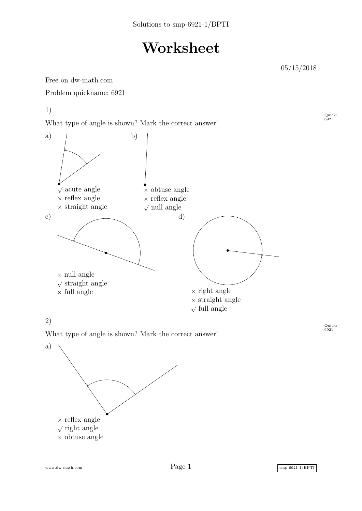## **Worksheet**

05/15/2018

Quick:<br>6921

Free on dw-math.com

Problem quickname: 6921

1)

What type of angle is shown? Mark the correct answer!



## 2)

What type of angle is shown? Mark the correct answer!

Quick:<br>6921



www.dw-math.com  $Page\ 1$  smp-6921-1/BPTI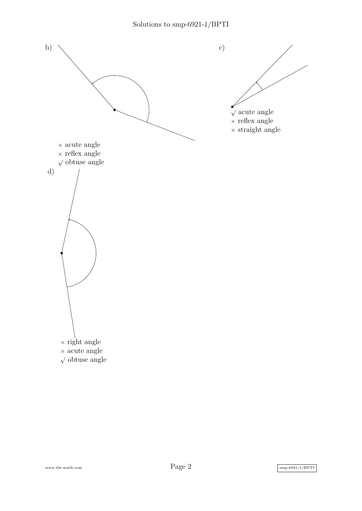

www.dw-math.com  $Page\ 2$  smp-6921-1/BPTI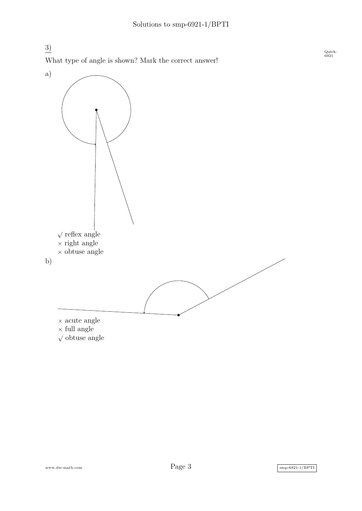3) What type of angle is shown? Mark the correct answer!



www.dw-math.com  $Page\ 3$  smp-6921-1/BPTI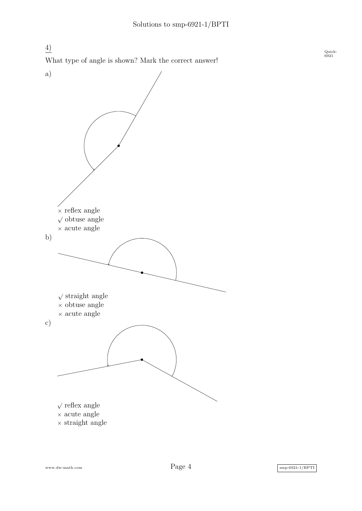4) What type of angle is shown? Mark the correct answer!



www.dw-math.com  $Page\ 4$  smp-6921-1/BPTI